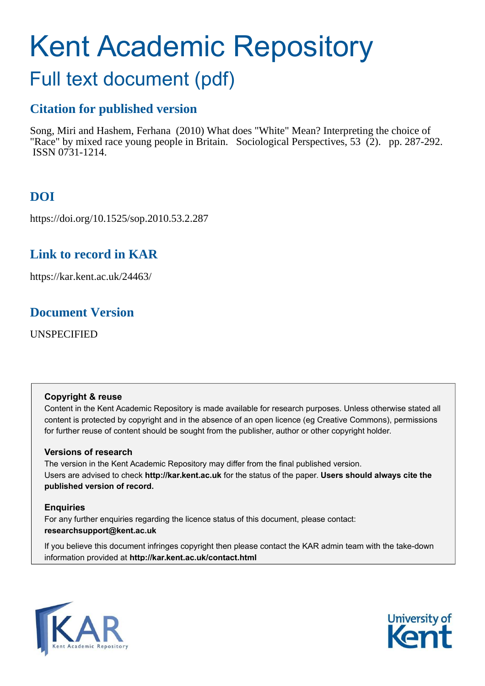# Kent Academic Repository

## Full text document (pdf)

## **Citation for published version**

Song, Miri and Hashem, Ferhana (2010) What does "White" Mean? Interpreting the choice of "Race" by mixed race young people in Britain. Sociological Perspectives, 53 (2). pp. 287-292. ISSN 0731-1214.

## **DOI**

https://doi.org/10.1525/sop.2010.53.2.287

## **Link to record in KAR**

https://kar.kent.ac.uk/24463/

## **Document Version**

UNSPECIFIED

#### **Copyright & reuse**

Content in the Kent Academic Repository is made available for research purposes. Unless otherwise stated all content is protected by copyright and in the absence of an open licence (eg Creative Commons), permissions for further reuse of content should be sought from the publisher, author or other copyright holder.

#### **Versions of research**

The version in the Kent Academic Repository may differ from the final published version. Users are advised to check **http://kar.kent.ac.uk** for the status of the paper. **Users should always cite the published version of record.**

#### **Enquiries**

For any further enquiries regarding the licence status of this document, please contact: **researchsupport@kent.ac.uk**

If you believe this document infringes copyright then please contact the KAR admin team with the take-down information provided at **http://kar.kent.ac.uk/contact.html**



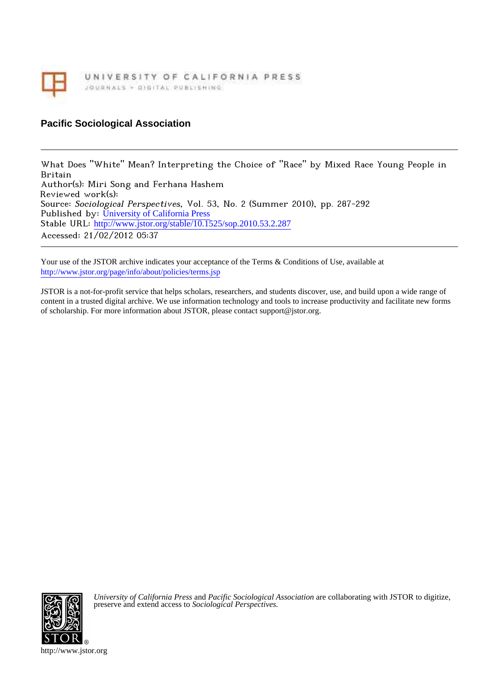

UNIVERSITY OF CALIFORNIA PRESS JOURNALS + DIGITAL PUBLISHING

#### **Pacific Sociological Association**

What Does "White" Mean? Interpreting the Choice of "Race" by Mixed Race Young People in Britain Author(s): Miri Song and Ferhana Hashem Reviewed work(s): Source: Sociological Perspectives, Vol. 53, No. 2 (Summer 2010), pp. 287-292 Published by: [University of California Press](http://www.jstor.org/action/showPublisher?publisherCode=ucal) Stable URL: [http://www.jstor.org/stable/10.1525/sop.2010.53.2.287](http://www.jstor.org/stable/10.1525/sop.2010.53.2.287?origin=JSTOR-pdf) . Accessed: 21/02/2012 05:37

Your use of the JSTOR archive indicates your acceptance of the Terms & Conditions of Use, available at <http://www.jstor.org/page/info/about/policies/terms.jsp>

JSTOR is a not-for-profit service that helps scholars, researchers, and students discover, use, and build upon a wide range of content in a trusted digital archive. We use information technology and tools to increase productivity and facilitate new forms of scholarship. For more information about JSTOR, please contact support@jstor.org.



*University of California Press* and *Pacific Sociological Association* are collaborating with JSTOR to digitize, preserve and extend access to *Sociological Perspectives.*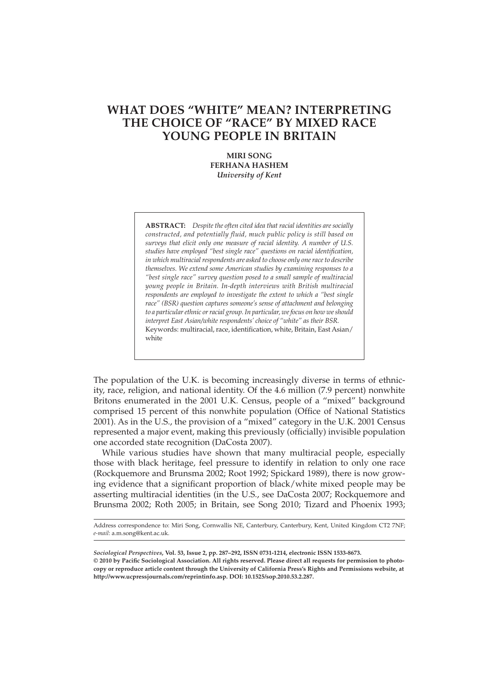#### **WHAT DOES "WHITE" MEAN? INTERPRETING THE CHOICE OF "RACE" BY MIXED RACE YOUNG PEOPLE IN BRITAIN**

**MIRI SONG FERHANA HASHEM** *University of Kent*

**ABSTRACT:** *Despite the often cited idea that racial identities are socially constructed, and potentially fluid, much public policy is still based on surveys that elicit only one measure of racial identity. A number of U.S. studies have employed "best single race" questions on racial identification, in which multiracial respondents are asked to choose only one race to describe themselves. We extend some American studies by examining responses to a "best single race" survey question posed to a small sample of multiracial young people in Britain. In-depth interviews with British multiracial respondents are employed to investigate the extent to which a "best single race" (BSR) question captures someone's sense of attachment and belonging to a particular ethnic or racial group. In particular, we focus on how we should interpret East Asian/white respondents' choice of "white" as their BSR.* Keywords: multiracial, race, identification, white, Britain, East Asian/ white

The population of the U.K. is becoming increasingly diverse in terms of ethnicity, race, religion, and national identity. Of the 4.6 million (7.9 percent) nonwhite Britons enumerated in the 2001 U.K. Census, people of a "mixed" background comprised 15 percent of this nonwhite population (Office of National Statistics 2001). As in the U.S., the provision of a "mixed" category in the U.K. 2001 Census represented a major event, making this previously (officially) invisible population one accorded state recognition (DaCosta 2007).

While various studies have shown that many multiracial people, especially those with black heritage, feel pressure to identify in relation to only one race (Rockquemore and Brunsma 2002; Root 1992; Spickard 1989), there is now growing evidence that a significant proportion of black/white mixed people may be asserting multiracial identities (in the U.S., see DaCosta 2007; Rockquemore and Brunsma 2002; Roth 2005; in Britain, see Song 2010; Tizard and Phoenix 1993;

Address correspondence to: Miri Song, Cornwallis NE, Canterbury, Canterbury, Kent, United Kingdom CT2 7NF; *e-mail*: a.m.song@kent.ac.uk.

*Sociological Perspectives***, Vol. 53, Issue 2, pp. 287–292, ISSN 0731-1214, electronic ISSN 1533-8673.** 

**© 2010 by Pacific Sociological Association. All rights reserved. Please direct all requests for permission to photocopy or reproduce article content through the University of California Press's Rights and Permissions website, at http://www.ucpressjournals.com/reprintinfo.asp. DOI: 10.1525/sop.2010.53.2.287.**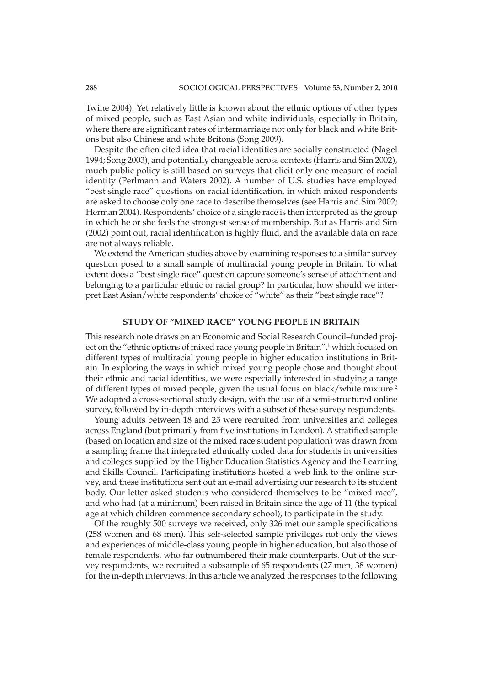Twine 2004). Yet relatively little is known about the ethnic options of other types of mixed people, such as East Asian and white individuals, especially in Britain, where there are significant rates of intermarriage not only for black and white Britons but also Chinese and white Britons (Song 2009).

Despite the often cited idea that racial identities are socially constructed (Nagel 1994; Song 2003), and potentially changeable across contexts (Harris and Sim 2002), much public policy is still based on surveys that elicit only one measure of racial identity (Perlmann and Waters 2002). A number of U.S. studies have employed "best single race" questions on racial identification, in which mixed respondents are asked to choose only one race to describe themselves (see Harris and Sim 2002; Herman 2004). Respondents' choice of a single race is then interpreted as the group in which he or she feels the strongest sense of membership. But as Harris and Sim (2002) point out, racial identification is highly fluid, and the available data on race are not always reliable.

We extend the American studies above by examining responses to a similar survey question posed to a small sample of multiracial young people in Britain. To what extent does a "best single race" question capture someone's sense of attachment and belonging to a particular ethnic or racial group? In particular, how should we interpret East Asian/white respondents' choice of "white" as their "best single race"?

#### **STUDY OF "MIXED RACE" YOUNG PEOPLE IN BRITAIN**

This research note draws on an Economic and Social Research Council–funded project on the "ethnic options of mixed race young people in Britain",<sup>1</sup> which focused on different types of multiracial young people in higher education institutions in Britain. In exploring the ways in which mixed young people chose and thought about their ethnic and racial identities, we were especially interested in studying a range of different types of mixed people, given the usual focus on black/white mixture.<sup>2</sup> We adopted a cross-sectional study design, with the use of a semi-structured online survey, followed by in-depth interviews with a subset of these survey respondents.

Young adults between 18 and 25 were recruited from universities and colleges across England (but primarily from five institutions in London). A stratified sample (based on location and size of the mixed race student population) was drawn from a sampling frame that integrated ethnically coded data for students in universities and colleges supplied by the Higher Education Statistics Agency and the Learning and Skills Council. Participating institutions hosted a web link to the online survey, and these institutions sent out an e-mail advertising our research to its student body. Our letter asked students who considered themselves to be "mixed race", and who had (at a minimum) been raised in Britain since the age of 11 (the typical age at which children commence secondary school), to participate in the study.

Of the roughly 500 surveys we received, only 326 met our sample specifications (258 women and 68 men). This self-selected sample privileges not only the views and experiences of middle-class young people in higher education, but also those of female respondents, who far outnumbered their male counterparts. Out of the survey respondents, we recruited a subsample of 65 respondents (27 men, 38 women) for the in-depth interviews. In this article we analyzed the responses to the following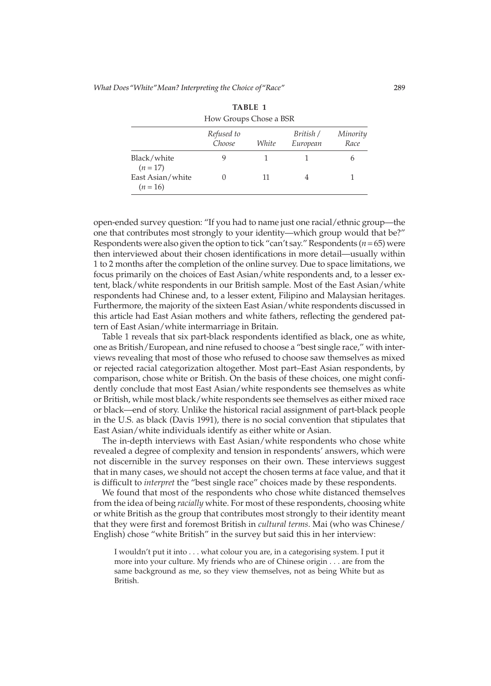| How Groups Chose a BSR       |                      |       |                       |                  |  |
|------------------------------|----------------------|-------|-----------------------|------------------|--|
|                              | Refused to<br>Choose | White | British /<br>European | Minority<br>Race |  |
| Black/white<br>$(n=17)$      |                      |       |                       | 6                |  |
| East Asian/white<br>$(n=16)$ |                      | 11    |                       |                  |  |

| <b>TABLE 1</b>         |  |
|------------------------|--|
| How Groups Chose a BSR |  |
|                        |  |

open-ended survey question: "If you had to name just one racial/ethnic group—the one that contributes most strongly to your identity—which group would that be?" Respondents were also given the option to tick "can't say." Respondents (*n*= 65) were then interviewed about their chosen identifications in more detail—usually within 1 to 2 months after the completion of the online survey. Due to space limitations, we focus primarily on the choices of East Asian/white respondents and, to a lesser extent, black/white respondents in our British sample. Most of the East Asian/white respondents had Chinese and, to a lesser extent, Filipino and Malaysian heritages. Furthermore, the majority of the sixteen East Asian/white respondents discussed in this article had East Asian mothers and white fathers, reflecting the gendered pattern of East Asian/white intermarriage in Britain.

Table 1 reveals that six part-black respondents identified as black, one as white, one as British/European, and nine refused to choose a "best single race," with interviews revealing that most of those who refused to choose saw themselves as mixed or rejected racial categorization altogether. Most part–East Asian respondents, by comparison, chose white or British. On the basis of these choices, one might confidently conclude that most East Asian/white respondents see themselves as white or British, while most black/white respondents see themselves as either mixed race or black—end of story. Unlike the historical racial assignment of part-black people in the U.S. as black (Davis 1991), there is no social convention that stipulates that East Asian/white individuals identify as either white or Asian.

The in-depth interviews with East Asian/white respondents who chose white revealed a degree of complexity and tension in respondents' answers, which were not discernible in the survey responses on their own. These interviews suggest that in many cases, we should not accept the chosen terms at face value, and that it is difficult to *interpret* the "best single race" choices made by these respondents.

We found that most of the respondents who chose white distanced themselves from the idea of being *racially* white. For most of these respondents, choosing white or white British as the group that contributes most strongly to their identity meant that they were first and foremost British in *cultural terms*. Mai (who was Chinese/ English) chose "white British" in the survey but said this in her interview:

I wouldn't put it into . . . what colour you are, in a categorising system. I put it more into your culture. My friends who are of Chinese origin . . . are from the same background as me, so they view themselves, not as being White but as British.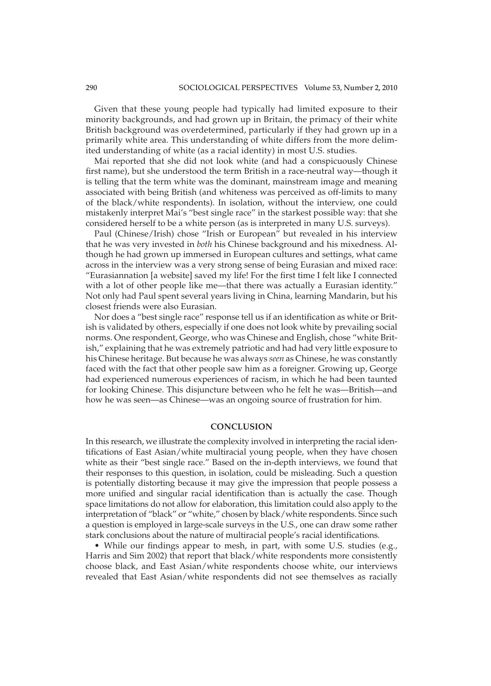Given that these young people had typically had limited exposure to their minority backgrounds, and had grown up in Britain, the primacy of their white British background was overdetermined, particularly if they had grown up in a primarily white area. This understanding of white differs from the more delimited understanding of white (as a racial identity) in most U.S. studies.

Mai reported that she did not look white (and had a conspicuously Chinese first name), but she understood the term British in a race-neutral way—though it is telling that the term white was the dominant, mainstream image and meaning associated with being British (and whiteness was perceived as off-limits to many of the black/white respondents). In isolation, without the interview, one could mistakenly interpret Mai's "best single race" in the starkest possible way: that she considered herself to be a white person (as is interpreted in many U.S. surveys).

Paul (Chinese/Irish) chose "Irish or European" but revealed in his interview that he was very invested in *both* his Chinese background and his mixedness. Although he had grown up immersed in European cultures and settings, what came across in the interview was a very strong sense of being Eurasian and mixed race: "Eurasiannation [a website] saved my life! For the first time I felt like I connected with a lot of other people like me—that there was actually a Eurasian identity." Not only had Paul spent several years living in China, learning Mandarin, but his closest friends were also Eurasian.

Nor does a "best single race" response tell us if an identification as white or British is validated by others, especially if one does not look white by prevailing social norms. One respondent, George, who was Chinese and English, chose "white British," explaining that he was extremely patriotic and had had very little exposure to his Chinese heritage. But because he was always *seen* as Chinese, he was constantly faced with the fact that other people saw him as a foreigner. Growing up, George had experienced numerous experiences of racism, in which he had been taunted for looking Chinese. This disjuncture between who he felt he was—British—and how he was seen—as Chinese—was an ongoing source of frustration for him.

#### **CONCLUSION**

In this research, we illustrate the complexity involved in interpreting the racial identifications of East Asian/white multiracial young people, when they have chosen white as their "best single race." Based on the in-depth interviews, we found that their responses to this question, in isolation, could be misleading. Such a question is potentially distorting because it may give the impression that people possess a more unified and singular racial identification than is actually the case. Though space limitations do not allow for elaboration, this limitation could also apply to the interpretation of "black" or "white," chosen by black/white respondents. Since such a question is employed in large-scale surveys in the U.S., one can draw some rather stark conclusions about the nature of multiracial people's racial identifications.

• While our findings appear to mesh, in part, with some U.S. studies (e.g., Harris and Sim 2002) that report that black/white respondents more consistently choose black, and East Asian/white respondents choose white, our interviews revealed that East Asian/white respondents did not see themselves as racially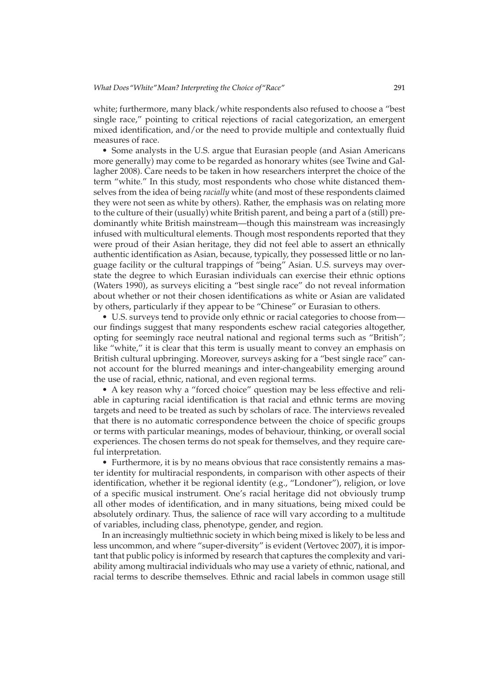white; furthermore, many black/white respondents also refused to choose a "best single race," pointing to critical rejections of racial categorization, an emergent mixed identification, and/or the need to provide multiple and contextually fluid measures of race.

• Some analysts in the U.S. argue that Eurasian people (and Asian Americans more generally) may come to be regarded as honorary whites (see Twine and Gallagher 2008). Care needs to be taken in how researchers interpret the choice of the term "white." In this study, most respondents who chose white distanced themselves from the idea of being *racially* white (and most of these respondents claimed they were not seen as white by others). Rather, the emphasis was on relating more to the culture of their (usually) white British parent, and being a part of a (still) predominantly white British mainstream—though this mainstream was increasingly infused with multicultural elements. Though most respondents reported that they were proud of their Asian heritage, they did not feel able to assert an ethnically authentic identification as Asian, because, typically, they possessed little or no language facility or the cultural trappings of "being" Asian. U.S. surveys may overstate the degree to which Eurasian individuals can exercise their ethnic options (Waters 1990), as surveys eliciting a "best single race" do not reveal information about whether or not their chosen identifications as white or Asian are validated by others, particularly if they appear to be "Chinese" or Eurasian to others.

• U.S. surveys tend to provide only ethnic or racial categories to choose from our findings suggest that many respondents eschew racial categories altogether, opting for seemingly race neutral national and regional terms such as "British"; like "white," it is clear that this term is usually meant to convey an emphasis on British cultural upbringing. Moreover, surveys asking for a "best single race" cannot account for the blurred meanings and inter-changeability emerging around the use of racial, ethnic, national, and even regional terms.

• A key reason why a "forced choice" question may be less effective and reliable in capturing racial identification is that racial and ethnic terms are moving targets and need to be treated as such by scholars of race. The interviews revealed that there is no automatic correspondence between the choice of specific groups or terms with particular meanings, modes of behaviour, thinking, or overall social experiences. The chosen terms do not speak for themselves, and they require careful interpretation.

• Furthermore, it is by no means obvious that race consistently remains a master identity for multiracial respondents, in comparison with other aspects of their identification, whether it be regional identity (e.g., "Londoner"), religion, or love of a specific musical instrument. One's racial heritage did not obviously trump all other modes of identification, and in many situations, being mixed could be absolutely ordinary. Thus, the salience of race will vary according to a multitude of variables, including class, phenotype, gender, and region.

In an increasingly multiethnic society in which being mixed is likely to be less and less uncommon, and where "super-diversity" is evident (Vertovec 2007), it is important that public policy is informed by research that captures the complexity and variability among multiracial individuals who may use a variety of ethnic, national, and racial terms to describe themselves. Ethnic and racial labels in common usage still